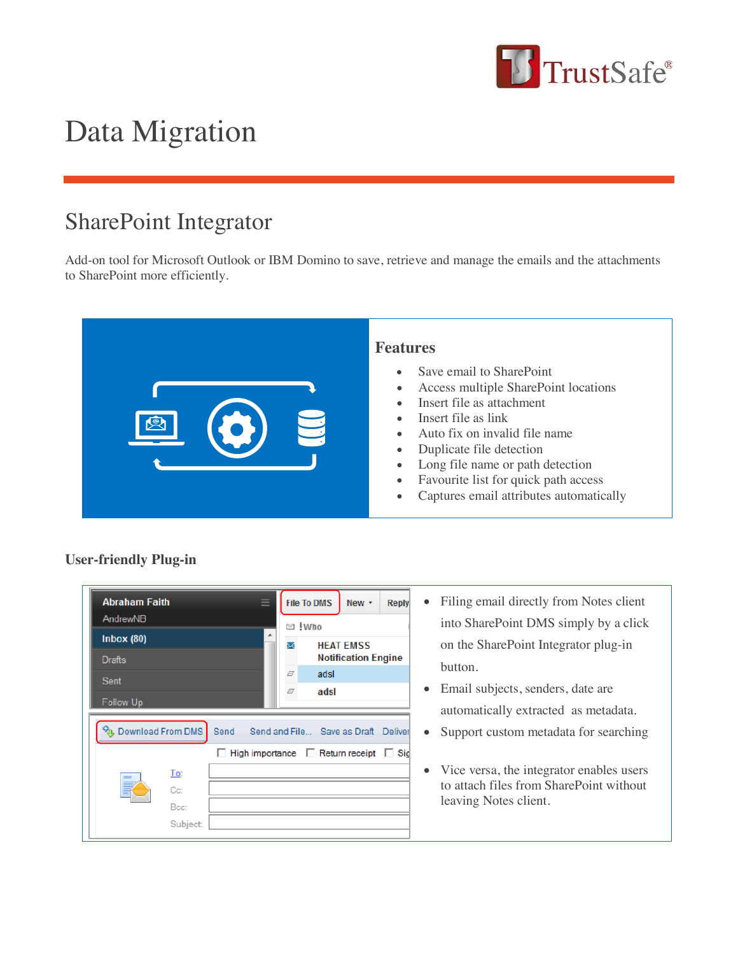

## Data Migration

## SharePoint Integrator

Add-on tool for Microsoft Outlook or IBM Domino to save, retrieve and manage the emails and the attachments to SharePoint more efficiently.



## **User-friendly Plug-in**

| <b>Abraham Faith</b><br>AndrewNB  |                  |    | ≡                                       |      | <b>File To DMS</b>                               | New $\tau$ | <b>Reply</b> |
|-----------------------------------|------------------|----|-----------------------------------------|------|--------------------------------------------------|------------|--------------|
| Inbox $(80)$                      |                  | ▲  | ⊠ !Who<br><b>HEAT EMSS</b><br>$\rtimes$ |      |                                                  |            |              |
| <b>Drafts</b>                     |                  |    |                                         |      | <b>Notification Engine</b>                       |            |              |
| Sent                              |                  |    | Ø                                       | adsl |                                                  |            |              |
| Follow Up                         |                  |    |                                         | Ø    | adsl                                             |            |              |
| <sup>√</sup> n. Download From DMS |                  |    |                                         |      | Send Send and File Save as Draft Deliver         |            |              |
|                                   |                  | L. |                                         |      | High importance $\Box$ Return receipt $\Box$ Sig |            |              |
|                                   | To:              |    |                                         |      |                                                  |            |              |
|                                   | $C_{\mathbb{C}}$ |    |                                         |      |                                                  |            |              |
|                                   | Bcc:             |    |                                         |      |                                                  |            |              |
|                                   | Subject          |    |                                         |      |                                                  |            |              |

- Filing email directly from Notes client into SharePoint DMS simply by a click on the SharePoint Integrator plug-in button.
- Email subjects, senders, date are automatically extracted as metadata.
- Support custom metadata for searching
- Vice versa, the integrator enables users to attach files from SharePoint without leaving Notes client.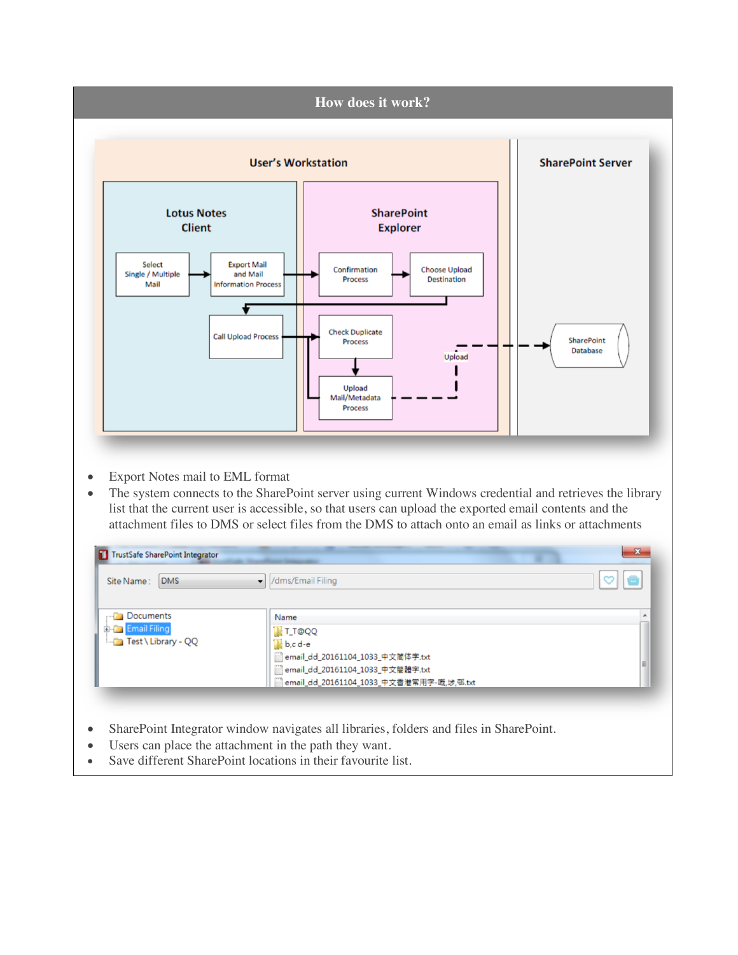

- Users can place the attachment in the path they want.
- Save different SharePoint locations in their favourite list.